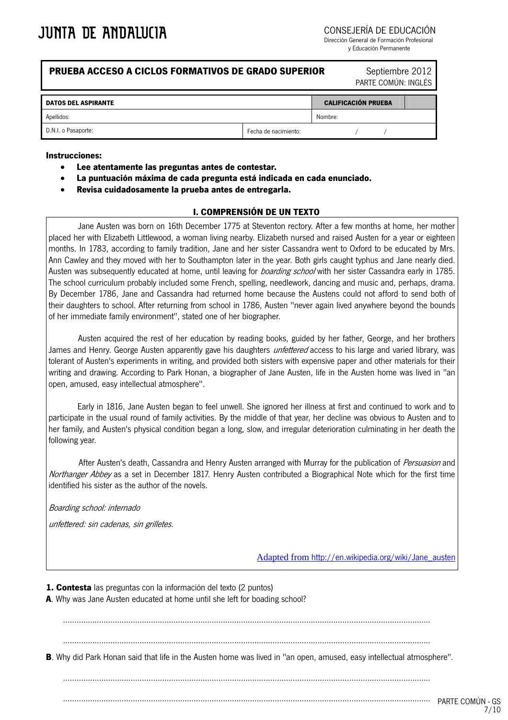CONSEJERÍA DE EDUCACIÓN

Dirección General de Formación Profesional y Educación Permanente

# **PRUEBA ACCESO A CICLOS FORMATIVOS DE GRADO SUPERIOR Septiembre 2012**

PARTE COMÚN: INGLÉS

| <b>DATOS DEL ASPIRANTE</b> |                      | <b>CALIFICACIÓN PRUEBA</b> |  |  |  |
|----------------------------|----------------------|----------------------------|--|--|--|
| Apellidos:                 |                      | Nombre:                    |  |  |  |
| D.N.I. o Pasaporte:        | Fecha de nacimiento: |                            |  |  |  |

#### **Instrucciones:**

- **Lee atentamente las preguntas antes de contestar.**
- **La puntuación máxima de cada pregunta está indicada en cada enunciado.**
- **Revisa cuidadosamente la prueba antes de entregarla.**

# **I. COMPRENSIÓN DE UN TEXTO**

Jane Austen was born on 16th December 1775 at Steventon rectory. After a few months at home, her mother placed her with Elizabeth Littlewood, a woman living nearby. Elizabeth nursed and raised Austen for a year or eighteen months. In 1783, according to family tradition, Jane and her sister Cassandra went to Oxford to be educated by Mrs. Ann Cawley and they moved with her to Southampton later in the year. Both girls caught typhus and Jane nearly died. Austen was subsequently educated at home, until leaving for *boarding school* with her sister Cassandra early in 1785. The school curriculum probably included some French, spelling, needlework, dancing and music and, perhaps, drama. By December 1786, Jane and Cassandra had returned home because the Austens could not afford to send both of their daughters to school. After returning from school in 1786, Austen "never again lived anywhere beyond the bounds of her immediate family environment", stated one of her biographer.

Austen acquired the rest of her education by reading books, guided by her father, George, and her brothers James and Henry. George Austen apparently gave his daughters *unfettered* access to his large and varied library, was tolerant of Austen's experiments in writing, and provided both sisters with expensive paper and other materials for their writing and drawing. According to Park Honan, a biographer of Jane Austen, life in the Austen home was lived in "an open, amused, easy intellectual atmosphere".

Early in 1816, Jane Austen began to feel unwell. She ignored her illness at first and continued to work and to participate in the usual round of family activities. By the middle of that year, her decline was obvious to Austen and to her family, and Austen's physical condition began a long, slow, and irregular deterioration culminating in her death the following year.

After Austen's death, Cassandra and Henry Austen arranged with Murray for the publication of *Persuasion* and Northanger Abbey as a set in December 1817. Henry Austen contributed a Biographical Note which for the first time identified his sister as the author of the novels.

Boarding school: internado

unfettered: sin cadenas, sin grilletes.

Adapted from [http://en.wikipedia.org/wiki/Jane\\_austen](http://en.wikipedia.org/wiki/Jane_austen)

**1. Contesta** las preguntas con la información del texto (2 puntos) **A**. Why was Jane Austen educated at home until she left for boading school?

...................................................................................................................................................................

...................................................................................................................................................................

**B**. Why did Park Honan said that life in the Austen home was lived in "an open, amused, easy intellectual atmosphere".

...................................................................................................................................................................